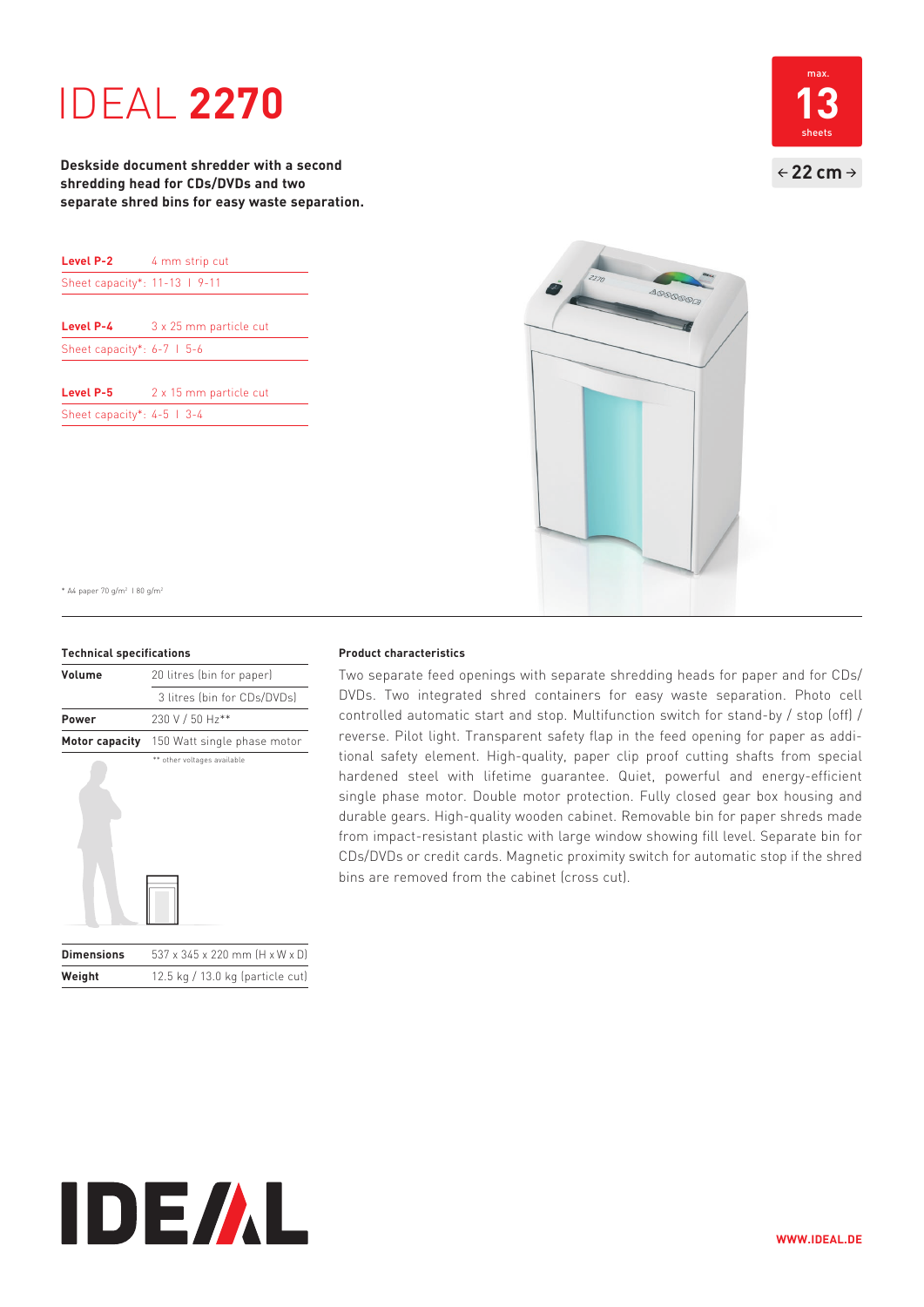# IDEAL **2270**

**Deskside document shredder with a second shredding head for CDs/DVDs and two separate shred bins for easy waste separation.**

| Level P-2                      | 4 mm strip cut         |
|--------------------------------|------------------------|
| Sheet capacity*: 11-13   9-11  |                        |
|                                |                        |
| Level P-4                      | 3 x 25 mm particle cut |
| Sheet capacity*: $6-7$   $5-6$ |                        |
| Level P-5                      | 2 x 15 mm particle cut |

Sheet capacity\*: 4-5 I 3-4





\* A4 paper 70 g/m2 I 80 g/m2

#### **Technical specifications**

| Volume            | 20 litres (bin for paper)      |
|-------------------|--------------------------------|
|                   | 3 litres (bin for CDs/DVDs)    |
| Power             | 230 V / 50 Hz**                |
| Motor capacity    | 150 Watt single phase motor    |
|                   | ** other voltages available    |
| <b>Dimensions</b> | 537 x 345 x 220 mm (H x W x D) |

**Weight** 12.5 kg / 13.0 kg (particle cut)

## **Product characteristics**

Two separate feed openings with separate shredding heads for paper and for CDs/ DVDs. Two integrated shred containers for easy waste separation. Photo cell controlled automatic start and stop. Multifunction switch for stand-by / stop (off) / reverse. Pilot light. Transparent safety flap in the feed opening for paper as additional safety element. High-quality, paper clip proof cutting shafts from special hardened steel with lifetime guarantee. Quiet, powerful and energy-efficient single phase motor. Double motor protection. Fully closed gear box housing and durable gears. High-quality wooden cabinet. Removable bin for paper shreds made from impact-resistant plastic with large window showing fill level. Separate bin for CDs/DVDs or credit cards. Magnetic proximity switch for automatic stop if the shred bins are removed from the cabinet (cross cut).